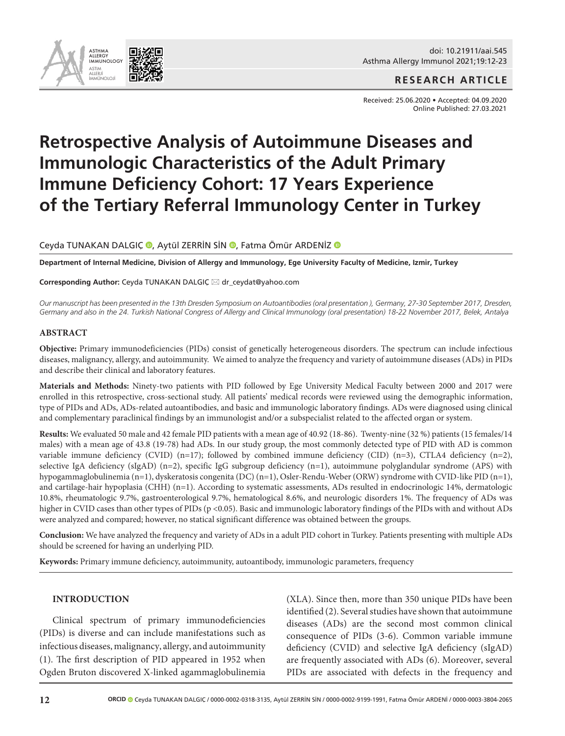

## **RESEARCH ARTICLE**

Received: 25.06.2020 • Accepted: 04.09.2020 Online Published: 27.03.2021

# **Retrospective Analysis of Autoimmune Diseases and Immunologic Characteristics of the Adult Primary Immune Deficiency Cohort: 17 Years Experience of the Tertiary Referral Immunology Center in Turkey**

## CeydaTUNAKAN DALGIÇ (D, Aytül ZERRİN SİN (D, Fatma Ömür ARDENİZ (D

**Department of Internal Medicine, Division of Allergy and Immunology, Ege University Faculty of Medicine, Izmir, Turkey**

**Corresponding Author:** Ceyda TUNAKAN DALGIÇ \* dr\_ceydat@yahoo.com

*Our manuscript has been presented in the 13th Dresden Symposium on Autoantibodies (oral presentation ), Germany, 27-30 September 2017, Dresden, Germany and also in the 24. Turkish National Congress of Allergy and Clinical Immunology (oral presentation) 18-22 November 2017, Belek, Antalya*

#### **ABSTRACT**

ASTHMA<br>ALLERGY ALLERGY IMMUNOLOGY ASTIM ALLERJİ İMMÜNOLOJİ

ПŒ.

**Objective:** Primary immunodeficiencies (PIDs) consist of genetically heterogeneous disorders. The spectrum can include infectious diseases, malignancy, allergy, and autoimmunity. We aimed to analyze the frequency and variety of autoimmune diseases (ADs) in PIDs and describe their clinical and laboratory features.

**Materials and Methods:** Ninety-two patients with PID followed by Ege University Medical Faculty between 2000 and 2017 were enrolled in this retrospective, cross-sectional study. All patients' medical records were reviewed using the demographic information, type of PIDs and ADs, ADs-related autoantibodies, and basic and immunologic laboratory findings. ADs were diagnosed using clinical and complementary paraclinical findings by an immunologist and/or a subspecialist related to the affected organ or system.

**Results:** We evaluated 50 male and 42 female PID patients with a mean age of 40.92 (18-86). Twenty-nine (32 %) patients (15 females/14 males) with a mean age of 43.8 (19-78) had ADs. In our study group, the most commonly detected type of PID with AD is common variable immune deficiency (CVID)  $(n=17)$ ; followed by combined immune deficiency (CID)  $(n=3)$ , CTLA4 deficiency  $(n=2)$ , selective IgA deficiency (sIgAD) (n=2), specific IgG subgroup deficiency (n=1), autoimmune polyglandular syndrome (APS) with hypogammaglobulinemia (n=1), dyskeratosis congenita (DC) (n=1), Osler-Rendu-Weber (ORW) syndrome with CVID-like PID (n=1), and cartilage-hair hypoplasia (CHH) (n=1). According to systematic assessments, ADs resulted in endocrinologic 14%, dermatologic 10.8%, rheumatologic 9.7%, gastroenterological 9.7%, hematological 8.6%, and neurologic disorders 1%. The frequency of ADs was higher in CVID cases than other types of PIDs (p <0.05). Basic and immunologic laboratory findings of the PIDs with and without ADs were analyzed and compared; however, no statical significant difference was obtained between the groups.

**Conclusion:** We have analyzed the frequency and variety of ADs in a adult PID cohort in Turkey. Patients presenting with multiple ADs should be screened for having an underlying PID.

**Keywords:** Primary immune deficiency, autoimmunity, autoantibody, immunologic parameters, frequency

#### **INTRODUCTION**

Clinical spectrum of primary immunodeficiencies (PIDs) is diverse and can include manifestations such as infectious diseases, malignancy, allergy, and autoimmunity (1). The first description of PID appeared in 1952 when Ogden Bruton discovered X-linked agammaglobulinemia (XLA). Since then, more than 350 unique PIDs have been identified (2). Several studies have shown that autoimmune diseases (ADs) are the second most common clinical consequence of PIDs (3-6). Common variable immune deficiency (CVID) and selective IgA deficiency (sIgAD) are frequently associated with ADs (6). Moreover, several PIDs are associated with defects in the frequency and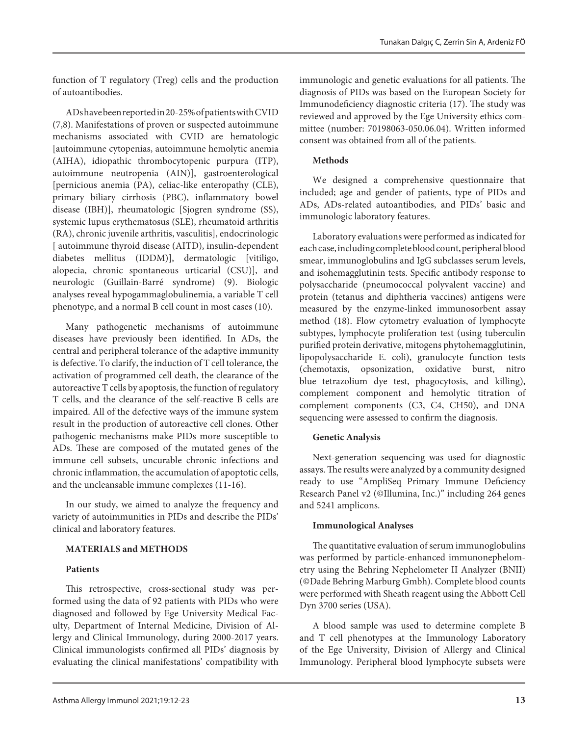function of T regulatory (Treg) cells and the production of autoantibodies.

ADs have been reported in 20-25% of patients with CVID (7,8). Manifestations of proven or suspected autoimmune mechanisms associated with CVID are hematologic [autoimmune cytopenias, autoimmune hemolytic anemia (AIHA), idiopathic thrombocytopenic purpura (ITP), autoimmune neutropenia (AIN)], gastroenterological [pernicious anemia (PA), celiac-like enteropathy (CLE), primary biliary cirrhosis (PBC), inflammatory bowel disease (IBH)], rheumatologic [Sjogren syndrome (SS), systemic lupus erythematosus (SLE), rheumatoid arthritis (RA), chronic juvenile arthritis, vasculitis], endocrinologic [ autoimmune thyroid disease (AITD), insulin-dependent diabetes mellitus (IDDM)], dermatologic [vitiligo, alopecia, chronic spontaneous urticarial (CSU)], and neurologic (Guillain-Barré syndrome) (9). Biologic analyses reveal hypogammaglobulinemia, a variable T cell phenotype, and a normal B cell count in most cases (10).

Many pathogenetic mechanisms of autoimmune diseases have previously been identified. In ADs, the central and peripheral tolerance of the adaptive immunity is defective. To clarify, the induction of T cell tolerance, the activation of programmed cell death, the clearance of the autoreactive T cells by apoptosis, the function of regulatory T cells, and the clearance of the self-reactive B cells are impaired. All of the defective ways of the immune system result in the production of autoreactive cell clones. Other pathogenic mechanisms make PIDs more susceptible to ADs. These are composed of the mutated genes of the immune cell subsets, uncurable chronic infections and chronic inflammation, the accumulation of apoptotic cells, and the uncleansable immune complexes (11-16).

In our study, we aimed to analyze the frequency and variety of autoimmunities in PIDs and describe the PIDs' clinical and laboratory features.

## **MATERIALS and METHODS**

## **Patients**

This retrospective, cross-sectional study was performed using the data of 92 patients with PIDs who were diagnosed and followed by Ege University Medical Faculty, Department of Internal Medicine, Division of Allergy and Clinical Immunology, during 2000-2017 years. Clinical immunologists confirmed all PIDs' diagnosis by evaluating the clinical manifestations' compatibility with

immunologic and genetic evaluations for all patients. The diagnosis of PIDs was based on the European Society for Immunodeficiency diagnostic criteria (17). The study was reviewed and approved by the Ege University ethics committee (number: 70198063-050.06.04). Written informed consent was obtained from all of the patients.

## **Methods**

We designed a comprehensive questionnaire that included; age and gender of patients, type of PIDs and ADs, ADs-related autoantibodies, and PIDs' basic and immunologic laboratory features.

Laboratory evaluations were performed as indicated for each case, including complete blood count, peripheral blood smear, immunoglobulins and IgG subclasses serum levels, and isohemagglutinin tests. Specific antibody response to polysaccharide (pneumococcal polyvalent vaccine) and protein (tetanus and diphtheria vaccines) antigens were measured by the enzyme-linked immunosorbent assay method (18). Flow cytometry evaluation of lymphocyte subtypes, lymphocyte proliferation test (using tuberculin purified protein derivative, mitogens phytohemagglutinin, lipopolysaccharide E. coli), granulocyte function tests (chemotaxis, opsonization, oxidative burst, nitro blue tetrazolium dye test, phagocytosis, and killing), complement component and hemolytic titration of complement components (C3, C4, CH50), and DNA sequencing were assessed to confirm the diagnosis.

## **Genetic Analysis**

Next-generation sequencing was used for diagnostic assays. The results were analyzed by a community designed ready to use "AmpliSeq Primary Immune Deficiency Research Panel v2 (©Illumina, Inc.)" including 264 genes and 5241 amplicons.

## **Immunological Analyses**

The quantitative evaluation of serum immunoglobulins was performed by particle-enhanced immunonephelometry using the Behring Nephelometer II Analyzer (BNII) (©Dade Behring Marburg Gmbh). Complete blood counts were performed with Sheath reagent using the Abbott Cell Dyn 3700 series (USA).

A blood sample was used to determine complete B and T cell phenotypes at the Immunology Laboratory of the Ege University, Division of Allergy and Clinical Immunology. Peripheral blood lymphocyte subsets were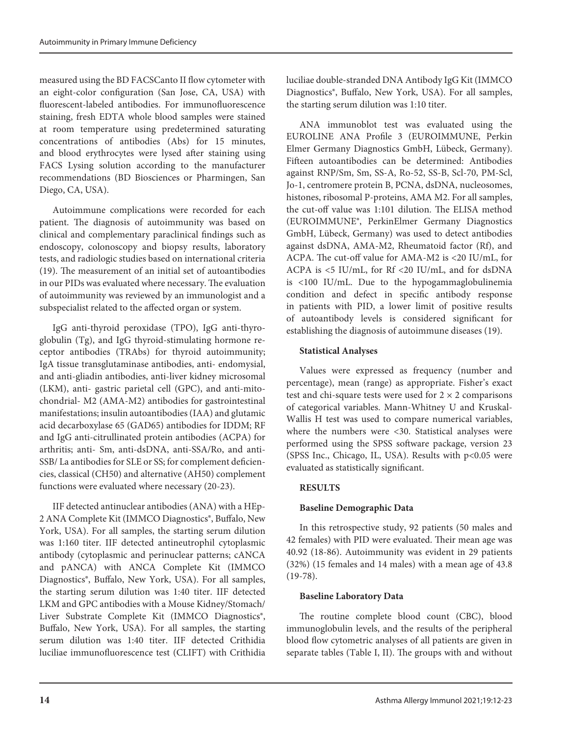measured using the BD FACSCanto II flow cytometer with an eight-color configuration (San Jose, CA, USA) with fluorescent-labeled antibodies. For immunofluorescence staining, fresh EDTA whole blood samples were stained at room temperature using predetermined saturating concentrations of antibodies (Abs) for 15 minutes, and blood erythrocytes were lysed after staining using FACS Lysing solution according to the manufacturer recommendations (BD Biosciences or Pharmingen, San Diego, CA, USA).

Autoimmune complications were recorded for each patient. The diagnosis of autoimmunity was based on clinical and complementary paraclinical findings such as endoscopy, colonoscopy and biopsy results, laboratory tests, and radiologic studies based on international criteria (19). The measurement of an initial set of autoantibodies in our PIDs was evaluated where necessary. The evaluation of autoimmunity was reviewed by an immunologist and a subspecialist related to the affected organ or system.

IgG anti-thyroid peroxidase (TPO), IgG anti-thyroglobulin (Tg), and IgG thyroid-stimulating hormone receptor antibodies (TRAbs) for thyroid autoimmunity; IgA tissue transglutaminase antibodies, anti- endomysial, and anti-gliadin antibodies, anti-liver kidney microsomal (LKM), anti- gastric parietal cell (GPC), and anti-mitochondrial- M2 (AMA-M2) antibodies for gastrointestinal manifestations; insulin autoantibodies (IAA) and glutamic acid decarboxylase 65 (GAD65) antibodies for IDDM; RF and IgG anti-citrullinated protein antibodies (ACPA) for arthritis; anti- Sm, anti-dsDNA, anti-SSA/Ro, and anti-SSB/ La antibodies for SLE or SS; for complement deficiencies, classical (CH50) and alternative (AH50) complement functions were evaluated where necessary (20-23).

IIF detected antinuclear antibodies (ANA) with a HEp-2 ANA Complete Kit (IMMCO Diagnostics®, Buffalo, New York, USA). For all samples, the starting serum dilution was 1:160 titer. IIF detected antineutrophil cytoplasmic antibody (cytoplasmic and perinuclear patterns; cANCA and pANCA) with ANCA Complete Kit (IMMCO Diagnostics®, Buffalo, New York, USA). For all samples, the starting serum dilution was 1:40 titer. IIF detected LKM and GPC antibodies with a Mouse Kidney/Stomach/ Liver Substrate Complete Kit (IMMCO Diagnostics®, Buffalo, New York, USA). For all samples, the starting serum dilution was 1:40 titer. IIF detected Crithidia luciliae immunofluorescence test (CLIFT) with Crithidia

luciliae double-stranded DNA Antibody IgG Kit (IMMCO Diagnostics®, Buffalo, New York, USA). For all samples, the starting serum dilution was 1:10 titer.

ANA immunoblot test was evaluated using the EUROLINE ANA Profile 3 (EUROIMMUNE, Perkin Elmer Germany Diagnostics GmbH, Lübeck, Germany). Fifteen autoantibodies can be determined: Antibodies against RNP/Sm, Sm, SS-A, Ro-52, SS-B, Scl-70, PM-Scl, Jo-1, centromere protein B, PCNA, dsDNA, nucleosomes, histones, ribosomal P-proteins, AMA M2. For all samples, the cut-off value was 1:101 dilution. The ELISA method (EUROIMMUNE®, PerkinElmer Germany Diagnostics GmbH, Lübeck, Germany) was used to detect antibodies against dsDNA, AMA-M2, Rheumatoid factor (Rf), and ACPA. The cut-off value for AMA-M2 is <20 IU/mL, for ACPA is <5 IU/mL, for Rf <20 IU/mL, and for dsDNA is <100 IU/mL. Due to the hypogammaglobulinemia condition and defect in specific antibody response in patients with PID, a lower limit of positive results of autoantibody levels is considered significant for establishing the diagnosis of autoimmune diseases (19).

# **Statistical Analyses**

Values were expressed as frequency (number and percentage), mean (range) as appropriate. Fisher's exact test and chi-square tests were used for  $2 \times 2$  comparisons of categorical variables. Mann-Whitney U and Kruskal-Wallis H test was used to compare numerical variables, where the numbers were <30. Statistical analyses were performed using the SPSS software package, version 23 (SPSS Inc., Chicago, IL, USA). Results with p<0.05 were evaluated as statistically significant.

# **RESULTS**

# **Baseline Demographic Data**

In this retrospective study, 92 patients (50 males and 42 females) with PID were evaluated. Their mean age was 40.92 (18-86). Autoimmunity was evident in 29 patients (32%) (15 females and 14 males) with a mean age of 43.8 (19-78).

# **Baseline Laboratory Data**

The routine complete blood count (CBC), blood immunoglobulin levels, and the results of the peripheral blood flow cytometric analyses of all patients are given in separate tables (Table I, II). The groups with and without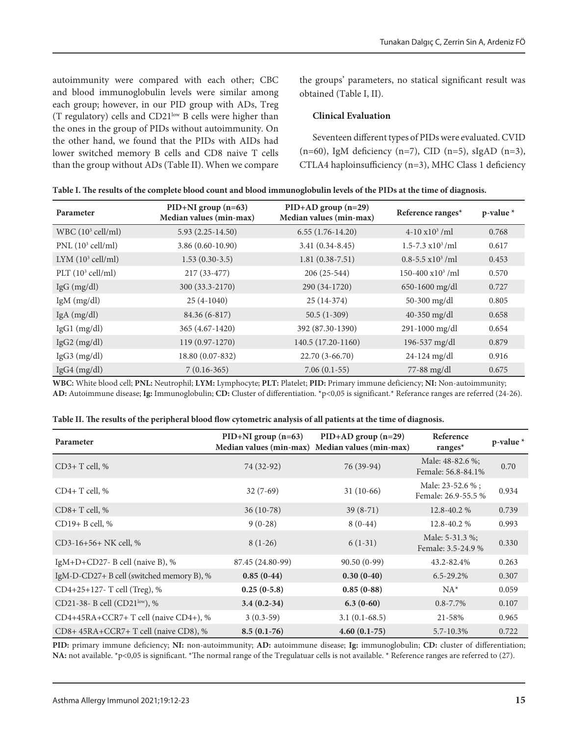autoimmunity were compared with each other; CBC and blood immunoglobulin levels were similar among each group; however, in our PID group with ADs, Treg (T regulatory) cells and CD21<sup>low</sup> B cells were higher than the ones in the group of PIDs without autoimmunity. On the other hand, we found that the PIDs with AIDs had lower switched memory B cells and CD8 naive T cells than the group without ADs (Table II). When we compare

the groups' parameters, no statical significant result was obtained (Table I, II).

## **Clinical Evaluation**

Seventeen different types of PIDs were evaluated. CVID (n=60), IgM deficiency (n=7), CID (n=5), sIgAD (n=3), CTLA4 haploinsufficiency (n=3), MHC Class 1 deficiency

| Table I. The results of the complete blood count and blood immunoglobulin levels of the PIDs at the time of diagnosis. |  |  |
|------------------------------------------------------------------------------------------------------------------------|--|--|
|                                                                                                                        |  |  |

| Parameter                     | $PID+NI$ group $(n=63)$<br>Median values (min-max) | $PID+AD$ group $(n=29)$<br>Median values (min-max) | Reference ranges*           | $p$ -value $*$ |
|-------------------------------|----------------------------------------------------|----------------------------------------------------|-----------------------------|----------------|
| WBC $(10^3 \text{ cell/ml})$  | $5.93(2.25-14.50)$                                 | $6.55(1.76-14.20)$                                 | $4-10 \times 10^3$ /ml      | 0.768          |
| PNL (10 <sup>3</sup> cell/ml) | $3.86(0.60-10.90)$                                 | $3.41(0.34 - 8.45)$                                | $1.5 - 7.3 \times 10^3$ /ml | 0.617          |
| LYM $(10^3 \text{ cell/ml})$  | $1.53(0.30-3.5)$                                   | $1.81(0.38-7.51)$                                  | $0.8 - 5.5 \times 10^3$ /ml | 0.453          |
| PLT $(10^3 \text{ cell/ml})$  | 217 (33-477)                                       | 206 (25-544)                                       | $150-400 \times 10^3$ /ml   | 0.570          |
| $IgG$ (mg/dl)                 | 300 (33.3-2170)                                    | 290 (34-1720)                                      | 650-1600 mg/dl              | 0.727          |
| $IgM$ (mg/dl)                 | $25(4-1040)$                                       | $25(14-374)$                                       | 50-300 mg/dl                | 0.805          |
| $IgA$ (mg/dl)                 | 84.36 (6-817)                                      | $50.5(1-309)$                                      | $40 - 350$ mg/dl            | 0.658          |
| $IgG1$ (mg/dl)                | 365 (4.67-1420)                                    | 392 (87.30-1390)                                   | 291-1000 mg/dl              | 0.654          |
| $IgG2$ (mg/dl)                | 119 (0.97-1270)                                    | 140.5 (17.20-1160)                                 | 196-537 mg/dl               | 0.879          |
| $IgG3$ (mg/dl)                | 18.80 (0.07-832)                                   | $22.70(3-66.70)$                                   | 24-124 mg/dl                | 0.916          |
| $IgG4$ (mg/dl)                | $7(0.16-365)$                                      | $7.06(0.1-55)$                                     | 77-88 mg/dl                 | 0.675          |

**WBC:** White blood cell; **PNL:** Neutrophil; **LYM:** Lymphocyte; **PLT:** Platelet; **PID:** Primary immune deficiency; **NI:** Non-autoimmunity; **AD:** Autoimmune disease; **Ig:** Immunoglobulin; **CD:** Cluster of differentiation. \*p<0,05 is significant.\* Referance ranges are referred (24-26).

| Table II. The results of the peripheral blood flow cytometric analysis of all patients at the time of diagnosis. |  |  |  |
|------------------------------------------------------------------------------------------------------------------|--|--|--|
|------------------------------------------------------------------------------------------------------------------|--|--|--|

| Parameter                                 | $PID+NI$ group $(n=63)$ | $PID+AD$ group (n=29)<br>Median values (min-max) Median values (min-max) | Reference<br>ranges $*$                 | $p$ -value $*$ |
|-------------------------------------------|-------------------------|--------------------------------------------------------------------------|-----------------------------------------|----------------|
| $CD3+T$ cell, %                           | 74 (32-92)              | 76 (39-94)                                                               | Male: 48-82.6 %;<br>Female: 56.8-84.1%  | 0.70           |
| $CD4+T$ cell, %                           | $32(7-69)$              | $31(10-66)$                                                              | Male: 23-52.6 %;<br>Female: 26.9-55.5 % | 0.934          |
| $CD8+T$ cell, %                           | $36(10-78)$             | $39(8-71)$                                                               | 12.8-40.2 %                             | 0.739          |
| $CD19+ B$ cell, %                         | $9(0-28)$               | $8(0-44)$                                                                | 12.8-40.2%                              | 0.993          |
| CD3-16+56+ NK cell, %                     | $8(1-26)$               | $6(1-31)$                                                                | Male: 5-31.3 %;<br>Female: 3.5-24.9 %   | 0.330          |
| IgM+D+CD27- B cell (naive B), %           | 87.45 (24.80-99)        | 90.50 (0-99)                                                             | 43.2-82.4%                              | 0.263          |
| IgM-D-CD27+ B cell (switched memory B), % | $0.85(0-44)$            | $0.30(0-40)$                                                             | $6.5 - 29.2\%$                          | 0.307          |
| CD4+25+127- T cell (Treg), %              | $0.25(0-5.8)$           | $0.85(0-88)$                                                             | $NA^*$                                  | 0.059          |
| CD21-38- B cell (CD21low), %              | $3.4(0.2-34)$           | $6.3(0-60)$                                                              | $0.8 - 7.7\%$                           | 0.107          |
| CD4+45RA+CCR7+ T cell (naive CD4+), %     | $3(0.3-59)$             | $3.1(0.1-68.5)$                                                          | 21-58%                                  | 0.965          |
| CD8+45RA+CCR7+T cell (naive CD8), %       | $8.5(0.1-76)$           | $4.60(0.1-75)$                                                           | 5.7-10.3%                               | 0.722          |

**PID:** primary immune deficiency; **NI:** non-autoimmunity; **AD:** autoimmune disease; **Ig:** immunoglobulin; **CD:** cluster of differentiation; NA: not available. \*p<0,05 is significant. \*The normal range of the Tregulatuar cells is not available. \* Reference ranges are referred to (27).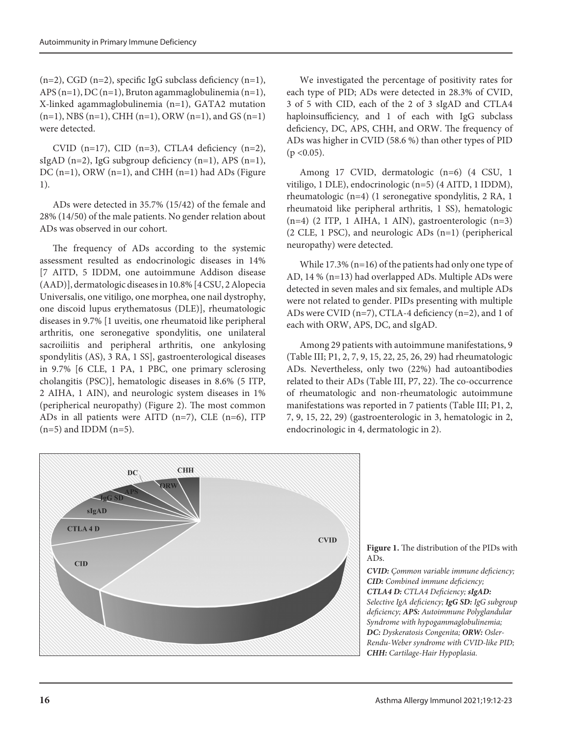$(n=2)$ , CGD  $(n=2)$ , specific IgG subclass deficiency  $(n=1)$ , APS (n=1), DC (n=1), Bruton agammaglobulinemia (n=1), X-linked agammaglobulinemia (n=1), GATA2 mutation  $(n=1)$ , NBS  $(n=1)$ , CHH  $(n=1)$ , ORW  $(n=1)$ , and GS  $(n=1)$ were detected.

CVID (n=17), CID (n=3), CTLA4 deficiency (n=2), sIgAD (n=2), IgG subgroup deficiency (n=1), APS (n=1), DC (n=1), ORW (n=1), and CHH (n=1) had ADs (Figure 1).

ADs were detected in 35.7% (15/42) of the female and 28% (14/50) of the male patients. No gender relation about ADs was observed in our cohort.

The frequency of ADs according to the systemic assessment resulted as endocrinologic diseases in 14% [7 AITD, 5 IDDM, one autoimmune Addison disease (AAD)], dermatologic diseases in 10.8% [4 CSU, 2 Alopecia Universalis, one vitiligo, one morphea, one nail dystrophy, one discoid lupus erythematosus (DLE)], rheumatologic diseases in 9.7% [1 uveitis, one rheumatoid like peripheral arthritis, one seronegative spondylitis, one unilateral sacroiliitis and peripheral arthritis, one ankylosing spondylitis (AS), 3 RA, 1 SS], gastroenterological diseases in 9.7% [6 CLE, 1 PA, 1 PBC, one primary sclerosing cholangitis (PSC)], hematologic diseases in 8.6% (5 ITP, 2 AIHA, 1 AIN), and neurologic system diseases in 1% (peripherical neuropathy) (Figure 2). The most common ADs in all patients were AITD  $(n=7)$ , CLE  $(n=6)$ , ITP  $(n=5)$  and IDDM  $(n=5)$ .

We investigated the percentage of positivity rates for each type of PID; ADs were detected in 28.3% of CVID, 3 of 5 with CID, each of the 2 of 3 sIgAD and CTLA4 haploinsufficiency, and 1 of each with IgG subclass deficiency, DC, APS, CHH, and ORW. The frequency of ADs was higher in CVID (58.6 %) than other types of PID  $(p < 0.05)$ .

Among 17 CVID, dermatologic (n=6) (4 CSU, 1 vitiligo, 1 DLE), endocrinologic (n=5) (4 AITD, 1 IDDM), rheumatologic (n=4) (1 seronegative spondylitis, 2 RA, 1 rheumatoid like peripheral arthritis, 1 SS), hematologic  $(n=4)$  (2 ITP, 1 AIHA, 1 AIN), gastroenterologic  $(n=3)$ (2 CLE, 1 PSC), and neurologic ADs (n=1) (peripherical neuropathy) were detected.

While 17.3% (n=16) of the patients had only one type of AD, 14 % (n=13) had overlapped ADs. Multiple ADs were detected in seven males and six females, and multiple ADs were not related to gender. PIDs presenting with multiple ADs were CVID (n=7), CTLA-4 deficiency (n=2), and 1 of each with ORW, APS, DC, and sIgAD.

Among 29 patients with autoimmune manifestations, 9 (Table III; P1, 2, 7, 9, 15, 22, 25, 26, 29) had rheumatologic ADs. Nevertheless, only two (22%) had autoantibodies related to their ADs (Table III, P7, 22). The co-occurrence of rheumatologic and non-rheumatologic autoimmune manifestations was reported in 7 patients (Table III; P1, 2, 7, 9, 15, 22, 29) (gastroenterologic in 3, hematologic in 2, endocrinologic in 4, dermatologic in 2).



**Figure 1.** The distribution of the PIDs with ADs.

*CVID: Çommon variable immune deficiency; CID: Combined immune deficiency; CTLA4 D: CTLA4 Deficiency; sIgAD: Selective IgA deficiency; IgG SD: IgG subgroup deficiency; APS: Autoimmune Polyglandular Syndrome with hypogammaglobulinemia; DC: Dyskeratosis Congenita; ORW: Osler-Rendu-Weber syndrome with CVID-like PID; CHH: Cartilage-Hair Hypoplasia.*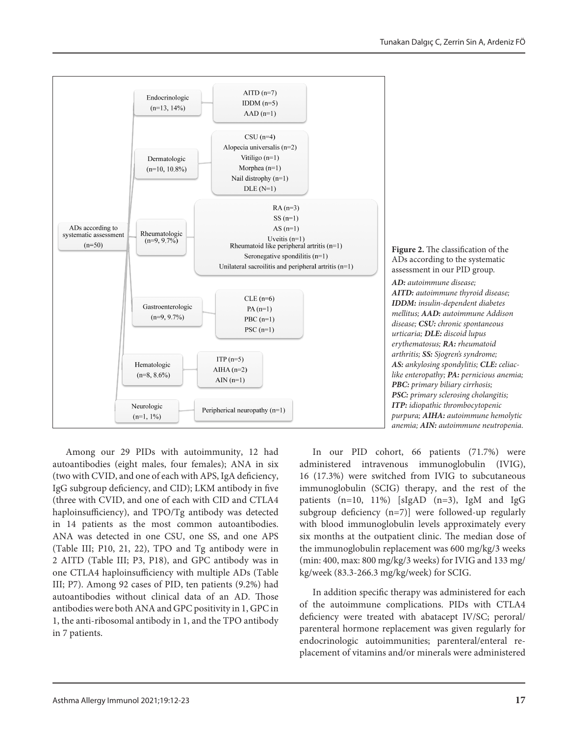

Among our 29 PIDs with autoimmunity, 12 had autoantibodies (eight males, four females); ANA in six (two with CVID, and one of each with APS, IgA deficiency, IgG subgroup deficiency, and CID); LKM antibody in five (three with CVID, and one of each with CID and CTLA4 haploinsufficiency), and TPO/Tg antibody was detected in 14 patients as the most common autoantibodies. ANA was detected in one CSU, one SS, and one APS (Table III; P10, 21, 22), TPO and Tg antibody were in 2 AITD (Table III; P3, P18), and GPC antibody was in one CTLA4 haploinsufficiency with multiple ADs (Table III; P7). Among 92 cases of PID, ten patients (9.2%) had autoantibodies without clinical data of an AD. Those antibodies were both ANA and GPC positivity in 1, GPC in 1, the anti-ribosomal antibody in 1, and the TPO antibody in 7 patients.

In our PID cohort, 66 patients (71.7%) were administered intravenous immunoglobulin (IVIG), 16 (17.3%) were switched from IVIG to subcutaneous immunoglobulin (SCIG) therapy, and the rest of the patients (n=10, 11%) [sIgAD (n=3), IgM and IgG subgroup deficiency (n=7)] were followed-up regularly with blood immunoglobulin levels approximately every six months at the outpatient clinic. The median dose of the immunoglobulin replacement was 600 mg/kg/3 weeks (min: 400, max: 800 mg/kg/3 weeks) for IVIG and 133 mg/ kg/week (83.3-266.3 mg/kg/week) for SCIG.

In addition specific therapy was administered for each of the autoimmune complications. PIDs with CTLA4 deficiency were treated with abatacept IV/SC; peroral/ parenteral hormone replacement was given regularly for endocrinologic autoimmunities; parenteral/enteral replacement of vitamins and/or minerals were administered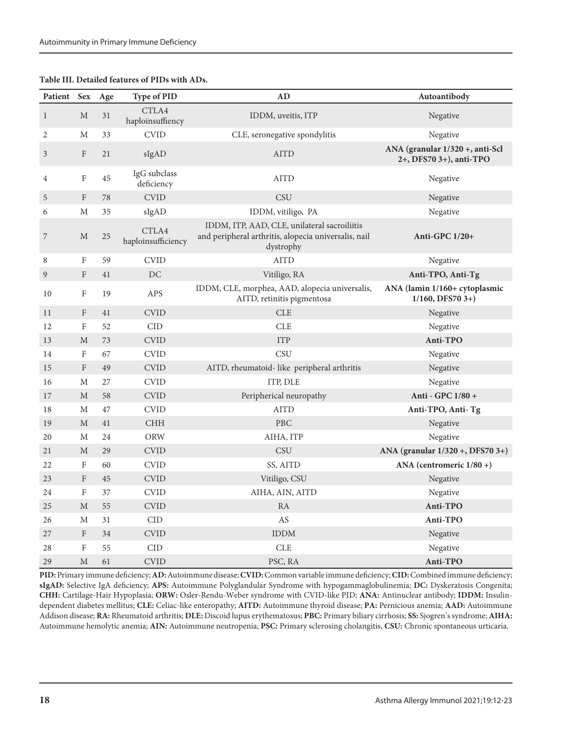## **Table III. Detailed features of PIDs with ADs.**

| Patient      | <b>Sex</b>                | Age | <b>Type of PID</b>           | AD                                                                                                                | Autoantibody                                                  |
|--------------|---------------------------|-----|------------------------------|-------------------------------------------------------------------------------------------------------------------|---------------------------------------------------------------|
| $\mathbf{1}$ | M                         | 31  | CTLA4<br>haploinsuffiency    | IDDM, uveitis, ITP                                                                                                | Negative                                                      |
| 2            | М                         | 33  | <b>CVID</b>                  | CLE, seronegative spondylitis                                                                                     | Negative                                                      |
| 3            | $\boldsymbol{F}$          | 21  | sIgAD                        | <b>AITD</b>                                                                                                       | ANA (granular $1/320 +$ , anti-Scl<br>2+, DFS70 3+), anti-TPO |
| 4            | F                         | 45  | IgG subclass<br>deficiency   | <b>AITD</b>                                                                                                       | Negative                                                      |
| 5            | $\boldsymbol{F}$          | 78  | <b>CVID</b>                  | <b>CSU</b>                                                                                                        | Negative                                                      |
| 6            | M                         | 35  | sIgAD                        | IDDM, vitiligo, PA                                                                                                | Negative                                                      |
| 7            | M                         | 25  | CTLA4<br>haploinsufficiency  | IDDM, ITP, AAD, CLE, unilateral sacroiliitis<br>and peripheral arthritis, alopecia universalis, nail<br>dystrophy | Anti-GPC $1/20+$                                              |
| 8            | $\rm F$                   | 59  | <b>CVID</b>                  | <b>AITD</b>                                                                                                       | Negative                                                      |
| 9            | $\boldsymbol{\mathrm{F}}$ | 41  | DC                           | Vitiligo, RA                                                                                                      | Anti-TPO, Anti-Tg                                             |
| 10           | F                         | 19  | APS                          | IDDM, CLE, morphea, AAD, alopecia universalis,<br>AITD, retinitis pigmentosa                                      | ANA (lamin 1/160+ cytoplasmic<br>$1/160$ , DFS70 3+)          |
| 11           | $\mathbf F$               | 41  | <b>CVID</b>                  | <b>CLE</b>                                                                                                        | Negative                                                      |
| 12           | $\rm F$                   | 52  | <b>CID</b>                   | <b>CLE</b>                                                                                                        | Negative                                                      |
| 13           | M                         | 73  | <b>CVID</b>                  | <b>ITP</b>                                                                                                        | Anti-TPO                                                      |
| 14           | F                         | 67  | <b>CVID</b>                  | <b>CSU</b>                                                                                                        | Negative                                                      |
| 15           | $\boldsymbol{F}$          | 49  | <b>CVID</b>                  | AITD, rheumatoid- like peripheral arthritis                                                                       | Negative                                                      |
| 16           | М                         | 27  | <b>CVID</b>                  | ITP, DLE                                                                                                          | Negative                                                      |
| 17           | $\mathbf{M}$              | 58  | $\ensuremath{\mathrm{CVID}}$ | Peripherical neuropathy                                                                                           | Anti - GPC 1/80 +                                             |
| 18           | M                         | 47  | <b>CVID</b>                  | <b>AITD</b>                                                                                                       | Anti-TPO, Anti-Tg                                             |
| 19           | $\mathbf{M}$              | 41  | <b>CHH</b>                   | PBC                                                                                                               | Negative                                                      |
| 20           | $\mathbf M$               | 24  | <b>ORW</b>                   | AIHA, ITP                                                                                                         | Negative                                                      |
| 21           | M                         | 29  | <b>CVID</b>                  | <b>CSU</b>                                                                                                        | ANA (granular 1/320 +, DFS70 3+)                              |
| 22           | $\mathbf F$               | 60  | <b>CVID</b>                  | SS, AITD                                                                                                          | ANA (centromeric 1/80 +)                                      |
| 23           | F                         | 45  | <b>CVID</b>                  | Vitiligo, CSU                                                                                                     | Negative                                                      |
| 24           | $\rm F$                   | 37  | <b>CVID</b>                  | AIHA, AIN, AITD                                                                                                   | Negative                                                      |
| 25           | M                         | 55  | <b>CVID</b>                  | <b>RA</b>                                                                                                         | Anti-TPO                                                      |
| 26           | M                         | 31  | <b>CID</b>                   | AS                                                                                                                | Anti-TPO                                                      |
| 27           | $\mathbf F$               | 34  | <b>CVID</b>                  | <b>IDDM</b>                                                                                                       | Negative                                                      |
| 28           | $\mathbf F$               | 55  | CID                          | <b>CLE</b>                                                                                                        | Negative                                                      |
| 29           | M                         | 61  | <b>CVID</b>                  | PSC, RA                                                                                                           | Anti-TPO                                                      |

**PID:** Primary immune deficiency; **AD:** Autoimmune disease; **CVID:** Common variable immune deficiency; **CID:** Combined immune deficiency; **sIgAD:** Selective IgA deficiency; **APS:** Autoimmune Polyglandular Syndrome with hypogammaglobulinemia; **DC:** Dyskeratosis Congenita; **CHH:** Cartilage-Hair Hypoplasia; **ORW:** Osler-Rendu-Weber syndrome with CVID-like PID; **ANA:** Antinuclear antibody; **IDDM:** Insulindependent diabetes mellitus; **CLE:** Celiac-like enteropathy; **AITD:** Autoimmune thyroid disease; **PA:** Pernicious anemia; **AAD:** Autoimmune Addison disease; **RA:** Rheumatoid arthritis; **DLE:** Discoid lupus erythematosus; **PBC:** Primary biliary cirrhosis; **SS:** Sjogren's syndrome; **AIHA:**  Autoimmune hemolytic anemia; **AIN:** Autoimmune neutropenia; **PSC:** Primary sclerosing cholangitis, **CSU:** Chronic spontaneous urticaria.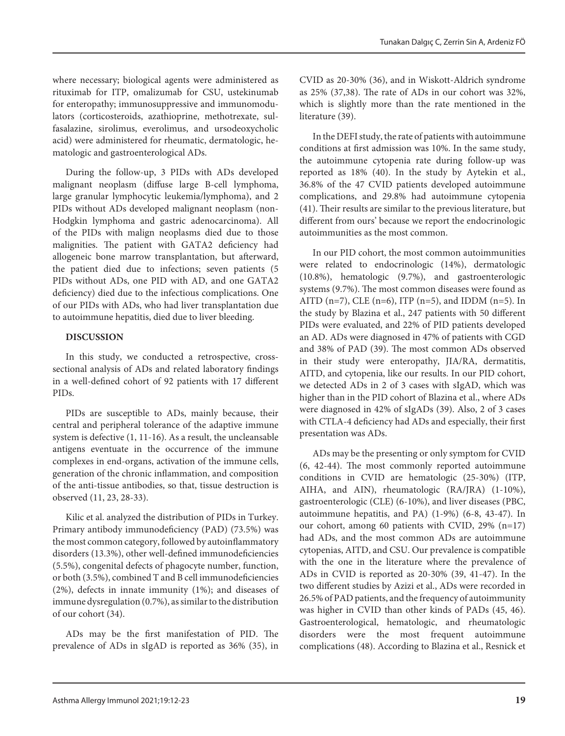where necessary; biological agents were administered as rituximab for ITP, omalizumab for CSU, ustekinumab for enteropathy; immunosuppressive and immunomodulators (corticosteroids, azathioprine, methotrexate, sulfasalazine, sirolimus, everolimus, and ursodeoxycholic acid) were administered for rheumatic, dermatologic, hematologic and gastroenterological ADs.

During the follow-up, 3 PIDs with ADs developed malignant neoplasm (diffuse large B-cell lymphoma, large granular lymphocytic leukemia/lymphoma), and 2 PIDs without ADs developed malignant neoplasm (non-Hodgkin lymphoma and gastric adenocarcinoma). All of the PIDs with malign neoplasms died due to those malignities. The patient with GATA2 deficiency had allogeneic bone marrow transplantation, but afterward, the patient died due to infections; seven patients (5 PIDs without ADs, one PID with AD, and one GATA2 deficiency) died due to the infectious complications. One of our PIDs with ADs, who had liver transplantation due to autoimmune hepatitis, died due to liver bleeding.

## **DISCUSSION**

In this study, we conducted a retrospective, crosssectional analysis of ADs and related laboratory findings in a well-defined cohort of 92 patients with 17 different PIDs.

PIDs are susceptible to ADs, mainly because, their central and peripheral tolerance of the adaptive immune system is defective (1, 11-16). As a result, the uncleansable antigens eventuate in the occurrence of the immune complexes in end-organs, activation of the immune cells, generation of the chronic inflammation, and composition of the anti-tissue antibodies, so that, tissue destruction is observed (11, 23, 28-33).

Kilic et al. analyzed the distribution of PIDs in Turkey. Primary antibody immunodeficiency (PAD) (73.5%) was the most common category, followed by autoinflammatory disorders (13.3%), other well-defined immunodeficiencies (5.5%), congenital defects of phagocyte number, function, or both (3.5%), combined T and B cell immunodeficiencies (2%), defects in innate immunity (1%); and diseases of immune dysregulation (0.7%), as similar to the distribution of our cohort (34).

ADs may be the first manifestation of PID. The prevalence of ADs in sIgAD is reported as 36% (35), in CVID as 20-30% (36), and in Wiskott-Aldrich syndrome as 25% (37,38). The rate of ADs in our cohort was 32%, which is slightly more than the rate mentioned in the literature (39).

In the DEFI study, the rate of patients with autoimmune conditions at first admission was 10%. In the same study, the autoimmune cytopenia rate during follow-up was reported as 18% (40). In the study by Aytekin et al., 36.8% of the 47 CVID patients developed autoimmune complications, and 29.8% had autoimmune cytopenia (41). Their results are similar to the previous literature, but different from ours' because we report the endocrinologic autoimmunities as the most common.

In our PID cohort, the most common autoimmunities were related to endocrinologic (14%), dermatologic (10.8%), hematologic (9.7%), and gastroenterologic systems (9.7%). The most common diseases were found as AITD (n=7), CLE (n=6), ITP (n=5), and IDDM (n=5). In the study by Blazina et al., 247 patients with 50 different PIDs were evaluated, and 22% of PID patients developed an AD. ADs were diagnosed in 47% of patients with CGD and 38% of PAD (39). The most common ADs observed in their study were enteropathy, JIA/RA, dermatitis, AITD, and cytopenia, like our results. In our PID cohort, we detected ADs in 2 of 3 cases with sIgAD, which was higher than in the PID cohort of Blazina et al., where ADs were diagnosed in 42% of sIgADs (39). Also, 2 of 3 cases with CTLA-4 deficiency had ADs and especially, their first presentation was ADs.

ADs may be the presenting or only symptom for CVID (6, 42-44). The most commonly reported autoimmune conditions in CVID are hematologic (25-30%) (ITP, AIHA, and AIN), rheumatologic (RA/JRA) (1-10%), gastroenterologic (CLE) (6-10%), and liver diseases (PBC, autoimmune hepatitis, and PA) (1-9%) (6-8, 43-47). In our cohort, among 60 patients with CVID, 29% (n=17) had ADs, and the most common ADs are autoimmune cytopenias, AITD, and CSU. Our prevalence is compatible with the one in the literature where the prevalence of ADs in CVID is reported as 20-30% (39, 41-47). In the two different studies by Azizi et al., ADs were recorded in 26.5% of PAD patients, and the frequency of autoimmunity was higher in CVID than other kinds of PADs (45, 46). Gastroenterological, hematologic, and rheumatologic disorders were the most frequent autoimmune complications (48). According to Blazina et al., Resnick et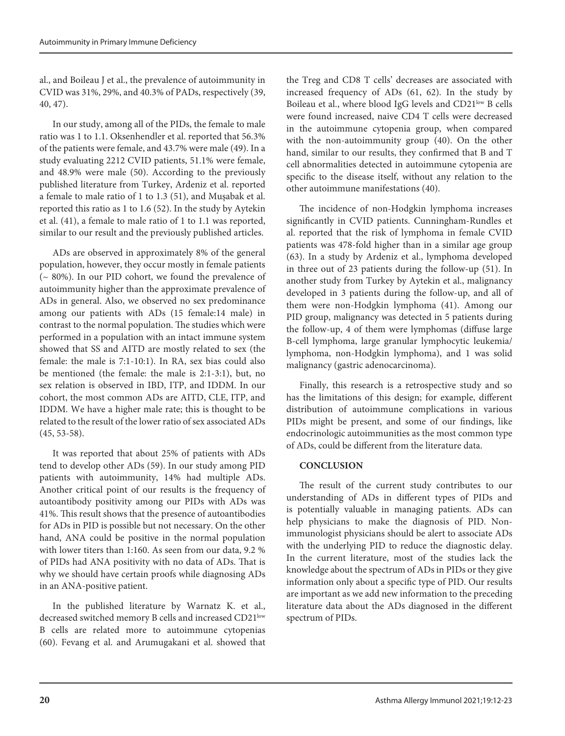al., and Boileau J et al., the prevalence of autoimmunity in CVID was 31%, 29%, and 40.3% of PADs, respectively (39, 40, 47).

In our study, among all of the PIDs, the female to male ratio was 1 to 1.1. Oksenhendler et al. reported that 56.3% of the patients were female, and 43.7% were male (49). In a study evaluating 2212 CVID patients, 51.1% were female, and 48.9% were male (50). According to the previously published literature from Turkey, Ardeniz et al. reported a female to male ratio of 1 to 1.3 (51), and Muşabak et al. reported this ratio as 1 to 1.6 (52). In the study by Aytekin et al. (41), a female to male ratio of 1 to 1.1 was reported, similar to our result and the previously published articles.

ADs are observed in approximately 8% of the general population, however, they occur mostly in female patients (~ 80%). In our PID cohort, we found the prevalence of autoimmunity higher than the approximate prevalence of ADs in general. Also, we observed no sex predominance among our patients with ADs (15 female:14 male) in contrast to the normal population. The studies which were performed in a population with an intact immune system showed that SS and AITD are mostly related to sex (the female: the male is 7:1-10:1). In RA, sex bias could also be mentioned (the female: the male is 2:1-3:1), but, no sex relation is observed in IBD, ITP, and IDDM. In our cohort, the most common ADs are AITD, CLE, ITP, and IDDM. We have a higher male rate; this is thought to be related to the result of the lower ratio of sex associated ADs (45, 53-58).

It was reported that about 25% of patients with ADs tend to develop other ADs (59). In our study among PID patients with autoimmunity, 14% had multiple ADs. Another critical point of our results is the frequency of autoantibody positivity among our PIDs with ADs was 41%. This result shows that the presence of autoantibodies for ADs in PID is possible but not necessary. On the other hand, ANA could be positive in the normal population with lower titers than 1:160. As seen from our data, 9.2 % of PIDs had ANA positivity with no data of ADs. That is why we should have certain proofs while diagnosing ADs in an ANA-positive patient.

In the published literature by Warnatz K. et al., decreased switched memory B cells and increased CD21low B cells are related more to autoimmune cytopenias (60). Fevang et al. and Arumugakani et al. showed that the Treg and CD8 T cells' decreases are associated with increased frequency of ADs (61, 62). In the study by Boileau et al., where blood IgG levels and CD21low B cells were found increased, naive CD4 T cells were decreased in the autoimmune cytopenia group, when compared with the non-autoimmunity group (40). On the other hand, similar to our results, they confirmed that B and T cell abnormalities detected in autoimmune cytopenia are specific to the disease itself, without any relation to the other autoimmune manifestations (40).

The incidence of non-Hodgkin lymphoma increases significantly in CVID patients. Cunningham-Rundles et al. reported that the risk of lymphoma in female CVID patients was 478-fold higher than in a similar age group (63). In a study by Ardeniz et al., lymphoma developed in three out of 23 patients during the follow-up (51). In another study from Turkey by Aytekin et al., malignancy developed in 3 patients during the follow-up, and all of them were non-Hodgkin lymphoma (41). Among our PID group, malignancy was detected in 5 patients during the follow-up, 4 of them were lymphomas (diffuse large B-cell lymphoma, large granular lymphocytic leukemia/ lymphoma, non-Hodgkin lymphoma), and 1 was solid malignancy (gastric adenocarcinoma).

Finally, this research is a retrospective study and so has the limitations of this design; for example, different distribution of autoimmune complications in various PIDs might be present, and some of our findings, like endocrinologic autoimmunities as the most common type of ADs, could be different from the literature data.

## **CONCLUSION**

The result of the current study contributes to our understanding of ADs in different types of PIDs and is potentially valuable in managing patients. ADs can help physicians to make the diagnosis of PID. Nonimmunologist physicians should be alert to associate ADs with the underlying PID to reduce the diagnostic delay. In the current literature, most of the studies lack the knowledge about the spectrum of ADs in PIDs or they give information only about a specific type of PID. Our results are important as we add new information to the preceding literature data about the ADs diagnosed in the different spectrum of PIDs.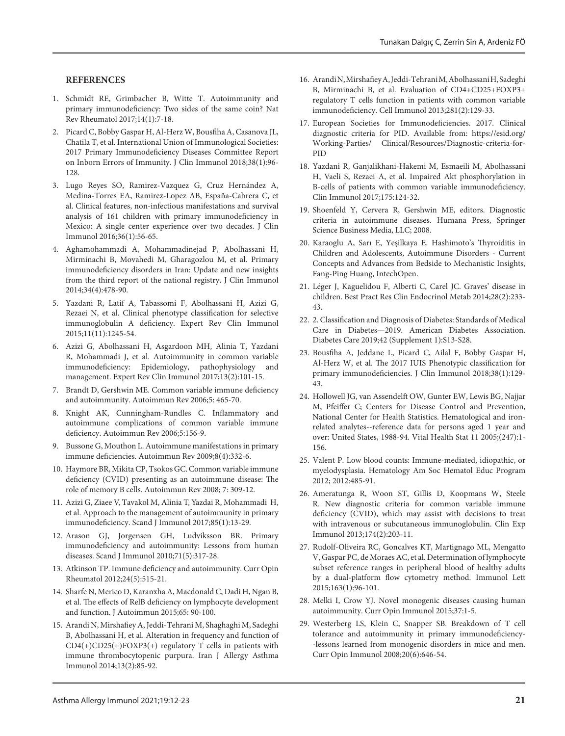#### **REFERENCES**

- 1. Schmidt RE, Grimbacher B, Witte T. Autoimmunity and primary immunodeficiency: Two sides of the same coin? Nat Rev Rheumatol 2017;14(1):7-18.
- 2. Picard C, Bobby Gaspar H, Al-Herz W, Bousfiha A, Casanova JL, Chatila T, et al. International Union of Immunological Societies: 2017 Primary Immunodeficiency Diseases Committee Report on Inborn Errors of Immunity. J Clin Immunol 2018;38(1):96- 128.
- 3. Lugo Reyes SO, Ramirez-Vazquez G, Cruz Hernández A, Medina-Torres EA, Ramirez-Lopez AB, España-Cabrera C, et al. Clinical features, non-infectious manifestations and survival analysis of 161 children with primary immunodeficiency in Mexico: A single center experience over two decades. J Clin Immunol 2016;36(1):56-65.
- 4. Aghamohammadi A, Mohammadinejad P, Abolhassani H, Mirminachi B, Movahedi M, Gharagozlou M, et al. Primary immunodeficiency disorders in Iran: Update and new insights from the third report of the national registry. J Clin Immunol 2014;34(4):478-90.
- 5. Yazdani R, Latif A, Tabassomi F, Abolhassani H, Azizi G, Rezaei N, et al. Clinical phenotype classification for selective immunoglobulin A deficiency. Expert Rev Clin Immunol 2015;11(11):1245-54.
- 6. Azizi G, Abolhassani H, Asgardoon MH, Alinia T, Yazdani R, Mohammadi J, et al. Autoimmunity in common variable immunodeficiency: Epidemiology, pathophysiology and management. Expert Rev Clin Immunol 2017;13(2):101-15.
- 7. Brandt D, Gershwin ME. Common variable immune deficiency and autoimmunity. Autoimmun Rev 2006;5: 465-70.
- 8. Knight AK, Cunningham-Rundles C. Inflammatory and autoimmune complications of common variable immune deficiency. Autoimmun Rev 2006;5:156-9.
- 9. Bussone G, Mouthon L. Autoimmune manifestations in primary immune deficiencies. Autoimmun Rev 2009;8(4):332-6.
- 10. Haymore BR, Mikita CP, Tsokos GC. Common variable immune deficiency (CVID) presenting as an autoimmune disease: The role of memory B cells. Autoimmun Rev 2008; 7: 309-12.
- 11. Azizi G, Ziaee V, Tavakol M, Alinia T, Yazdai R, Mohammadi H, et al. Approach to the management of autoimmunity in primary immunodeficiency. Scand J Immunol 2017;85(1):13-29.
- 12. Arason GJ, Jorgensen GH, Ludviksson BR. Primary immunodeficiency and autoimmunity: Lessons from human diseases. Scand J Immunol 2010;71(5):317-28.
- 13. Atkinson TP. Immune deficiency and autoimmunity. Curr Opin Rheumatol 2012;24(5):515-21.
- 14. Sharfe N, Merico D, Karanxha A, Macdonald C, Dadi H, Ngan B, et al. The effects of RelB deficiency on lymphocyte development and function. J Autoimmun 2015;65: 90-100.
- 15. Arandi N, Mirshafiey A, Jeddi-Tehrani M, Shaghaghi M, Sadeghi B, Abolhassani H, et al. Alteration in frequency and function of  $CD4(+)CD25(+)FOXP3(+)$  regulatory T cells in patients with immune thrombocytopenic purpura. Iran J Allergy Asthma Immunol 2014;13(2):85-92.
- 16. Arandi N, Mirshafiey A, Jeddi-Tehrani M, Abolhassani H, Sadeghi B, Mirminachi B, et al. Evaluation of CD4+CD25+FOXP3+ regulatory T cells function in patients with common variable immunodeficiency. Cell Immunol 2013;281(2):129-33.
- 17. European Societies for Immunodeficiencies. 2017. Clinical diagnostic criteria for PID. Available from: https://esid.org/ Working-Parties/ Clinical/Resources/Diagnostic-criteria-for-PID
- 18. Yazdani R, Ganjalikhani-Hakemi M, Esmaeili M, Abolhassani H, Vaeli S, Rezaei A, et al. Impaired Akt phosphorylation in B-cells of patients with common variable immunodeficiency. Clin Immunol 2017;175:124-32.
- 19. Shoenfeld Y, Cervera R, Gershwin ME, editors. Diagnostic criteria in autoimmune diseases. Humana Press, Springer Science Business Media, LLC; 2008.
- 20. Karaoglu A, Sarı E, Yeşilkaya E. Hashimoto's Thyroiditis in Children and Adolescents, Autoimmune Disorders - Current Concepts and Advances from Bedside to Mechanistic Insights, Fang-Ping Huang, IntechOpen.
- 21. Léger J, Kaguelidou F, Alberti C, Carel JC. Graves' disease in children. Best Pract Res Clin Endocrinol Metab 2014;28(2):233- 43.
- 22. 2. Classification and Diagnosis of Diabetes: Standards of Medical Care in Diabetes—2019. American Diabetes Association. Diabetes Care 2019;42 (Supplement 1):S13-S28.
- 23. Bousfiha A, Jeddane L, Picard C, Ailal F, Bobby Gaspar H, Al-Herz W, et al. The 2017 IUIS Phenotypic classification for primary immunodeficiencies. J Clin Immunol 2018;38(1):129- 43.
- 24. Hollowell JG, van Assendelft OW, Gunter EW, Lewis BG, Najjar M, Pfeiffer C; Centers for Disease Control and Prevention, National Center for Health Statistics. Hematological and ironrelated analytes--reference data for persons aged 1 year and over: United States, 1988-94. Vital Health Stat 11 2005;(247):1- 156.
- 25. Valent P. Low blood counts: Immune-mediated, idiopathic, or myelodysplasia. Hematology Am Soc Hematol Educ Program 2012; 2012:485-91.
- 26. Ameratunga R, Woon ST, Gillis D, Koopmans W, Steele R. New diagnostic criteria for common variable immune deficiency (CVID), which may assist with decisions to treat with intravenous or subcutaneous immunoglobulin. Clin Exp Immunol 2013;174(2):203-11.
- 27. Rudolf-Oliveira RC, Goncalves KT, Martignago ML, Mengatto V, Gaspar PC, de Moraes AC, et al. Determination of lymphocyte subset reference ranges in peripheral blood of healthy adults by a dual-platform flow cytometry method. Immunol Lett 2015;163(1):96-101.
- 28. Melki I, Crow YJ. Novel monogenic diseases causing human autoimmunity. Curr Opin Immunol 2015;37:1-5.
- 29. Westerberg LS, Klein C, Snapper SB. Breakdown of T cell tolerance and autoimmunity in primary immunodeficiency- -lessons learned from monogenic disorders in mice and men. Curr Opin Immunol 2008;20(6):646-54.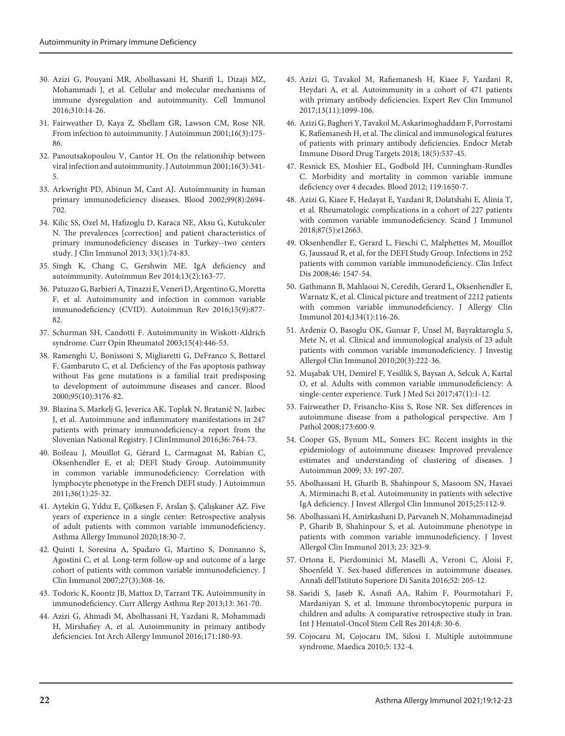- 30. Azizi G, Pouyani MR, Abolhassani H, Sharifi L, Dizaji MZ, Mohammadi J, et al. Cellular and molecular mechanisms of immune dysregulation and autoimmunity. Cell Immunol 2016;310:14-26.
- 31. Fairweather D, Kaya Z, Shellam GR, Lawson CM, Rose NR. From infection to autoimmunity. J Autoimmun 2001;16(3):175- 86.
- 32. Panoutsakopoulou V, Cantor H. On the relationship between viral infection and autoimmunity. J Autoimmun 2001;16(3):341- 5.
- 33. Arkwright PD, Abinun M, Cant AJ. Autoimmunity in human primary immunodeficiency diseases. Blood 2002;99(8):2694- 702.
- 34. Kilic SS, Ozel M, Hafizoglu D, Karaca NE, Aksu G, Kutukculer N. The prevalences [correction] and patient characteristics of primary immunodeficiency diseases in Turkey--two centers study. J Clin Immunol 2013; 33(1):74-83.
- 35. Singh K, Chang C, Gershwin ME. IgA deficiency and autoimmunity. Autoimmun Rev 2014;13(2):163-77.
- 36. Patuzzo G, Barbieri A, Tinazzi E, Veneri D, Argentino G, Moretta F, et al. Autoimmunity and infection in common variable immunodeficiency (CVID). Autoimmun Rev 2016;15(9):877- 82.
- 37. Schurman SH, Candotti F. Autoimmunity in Wiskott-Aldrich syndrome. Curr Opin Rheumatol 2003;15(4):446-53.
- 38. Ramenghi U, Bonissoni S, Migliaretti G, DeFranco S, Bottarel F, Gambaruto C, et al. Deficiency of the Fas apoptosis pathway without Fas gene mutations is a familial trait predisposing to development of autoimmune diseases and cancer. Blood 2000;95(10):3176-82.
- 39. Blazina S, Markelj G, Jeverica AK, Toplak N, Bratanič N, Jazbec J, et al. Autoimmune and inflammatory manifestations in 247 patients with primary immunodeficiency-a report from the Slovenian National Registry. J ClinImmunol 2016;36: 764-73.
- 40. Boileau J, Mouillot G, Gérard L, Carmagnat M, Rabian C, Oksenhendler E, et al; DEFI Study Group. Autoimmunity in common variable immunodeficiency: Correlation with lymphocyte phenotype in the French DEFI study. J Autoimmun 2011;36(1):25-32.
- 41. Aytekin G, Yıldız E, Çölkesen F, Arslan Ş, Çalışkaner AZ. Five years of experience in a single center: Retrospective analysis of adult patients with common variable immunodeficiency. Asthma Allergy Immunol 2020;18:30-7.
- 42. Quinti I, Soresina A, Spadaro G, Martino S, Donnanno S, Agostini C, et al. Long-term follow-up and outcome of a large cohort of patients with common variable immunodeficiency. J Clin Immunol 2007;27(3):308-16.
- 43. Todoric K, Koontz JB, Mattox D, Tarrant TK. Autoimmunity in immunodeficiency. Curr Allergy Asthma Rep 2013;13: 361-70.
- 44. Azizi G, Ahmadi M, Abolhassani H, Yazdani R, Mohammadi H, Mirshafiey A, et al. Autoimmunity in primary antibody deficiencies. Int Arch Allergy Immunol 2016;171:180-93.
- 45. Azizi G, Tavakol M, Rafiemanesh H, Kiaee F, Yazdani R, Heydari A, et al. Autoimmunity in a cohort of 471 patients with primary antibody deficiencies. Expert Rev Clin Immunol 2017;13(11):1099-106.
- 46. Azizi G, Bagheri Y, Tavakol M, Askarimoghaddam F, Porrostami K, Rafiemanesh H, et al. The clinical and immunological features of patients with primary antibody deficiencies. Endocr Metab Immune Disord Drug Targets 2018; 18(5):537-45.
- 47. Resnick ES, Moshier EL, Godbold JH, Cunningham-Rundles C. Morbidity and mortality in common variable immune deficiency over 4 decades. Blood 2012; 119:1650-7.
- 48. Azizi G, Kiaee F, Hedayat E, Yazdani R, Dolatshahi E, Alinia T, et al. Rheumatologic complications in a cohort of 227 patients with common variable immunodeficiency. Scand J Immunol 2018;87(5):e12663.
- 49. Oksenhendler E, Gerard L, Fieschi C, Malphettes M, Mouillot G, Jaussaud R, et al, for the DEFI Study Group. Infections in 252 patients with common variable immunodeficiency. Clin Infect Dis 2008;46: 1547-54.
- 50. Gathmann B, Mahlaoui N, Ceredih, Gerard L, Oksenhendler E, Warnatz K, et al. Clinical picture and treatment of 2212 patients with common variable immunodeficiency. J Allergy Clin Immunol 2014;134(1):116-26.
- 51. Ardeniz O, Basoglu OK, Gunsar F, Unsel M, Bayraktaroglu S, Mete N, et al. Clinical and immunological analysis of 23 adult patients with common variable immunodeficiency. J Investig Allergol Clin Immunol 2010;20(3):222-36.
- 52. Muşabak UH, Demirel F, Yesillik S, Baysan A, Selcuk A, Kartal O, et al. Adults with common variable immunodeficiency: A single-center experience. Turk J Med Sci 2017;47(1):1-12.
- 53. Fairweather D, Frisancho-Kiss S, Rose NR. Sex differences in autoimmune disease from a pathological perspective. Am J Pathol 2008;173:600-9.
- 54. Cooper GS, Bynum ML, Somers EC. Recent insights in the epidemiology of autoimmune diseases: Improved prevalence estimates and understanding of clustering of diseases. J Autoimmun 2009; 33: 197-207.
- 55. Abolhassani H, Gharib B, Shahinpour S, Masoom SN, Havaei A, Mirminachi B, et al. Autoimmunity in patients with selective IgA deficiency. J Invest Allergol Clin Immunol 2015;25:112-9.
- 56. Abolhassani H, Amirkashani D, Parvaneh N, Mohammadinejad P, Gharib B, Shahinpour S, et al. Autoimmune phenotype in patients with common variable immunodeficiency. J Invest Allergol Clin Immunol 2013; 23: 323-9.
- 57. Ortona E, Pierdominici M, Maselli A, Veroni C, Aloisi F, Shoenfeld Y. Sex-based differences in autoimmune diseases. Annali dell'Istituto Superiore Di Sanita 2016;52: 205-12.
- 58. Saeidi S, Jaseb K, Asnafi AA, Rahim F, Pourmotahari F, Mardaniyan S, et al. Immune thrombocytopenic purpura in children and adults: A comparative retrospective study in Iran. Int J Hematol-Oncol Stem Cell Res 2014;8: 30-6.
- 59. Cojocaru M, Cojocaru IM, Silosi I. Multiple autoimmune syndrome. Maedica 2010;5: 132-4.